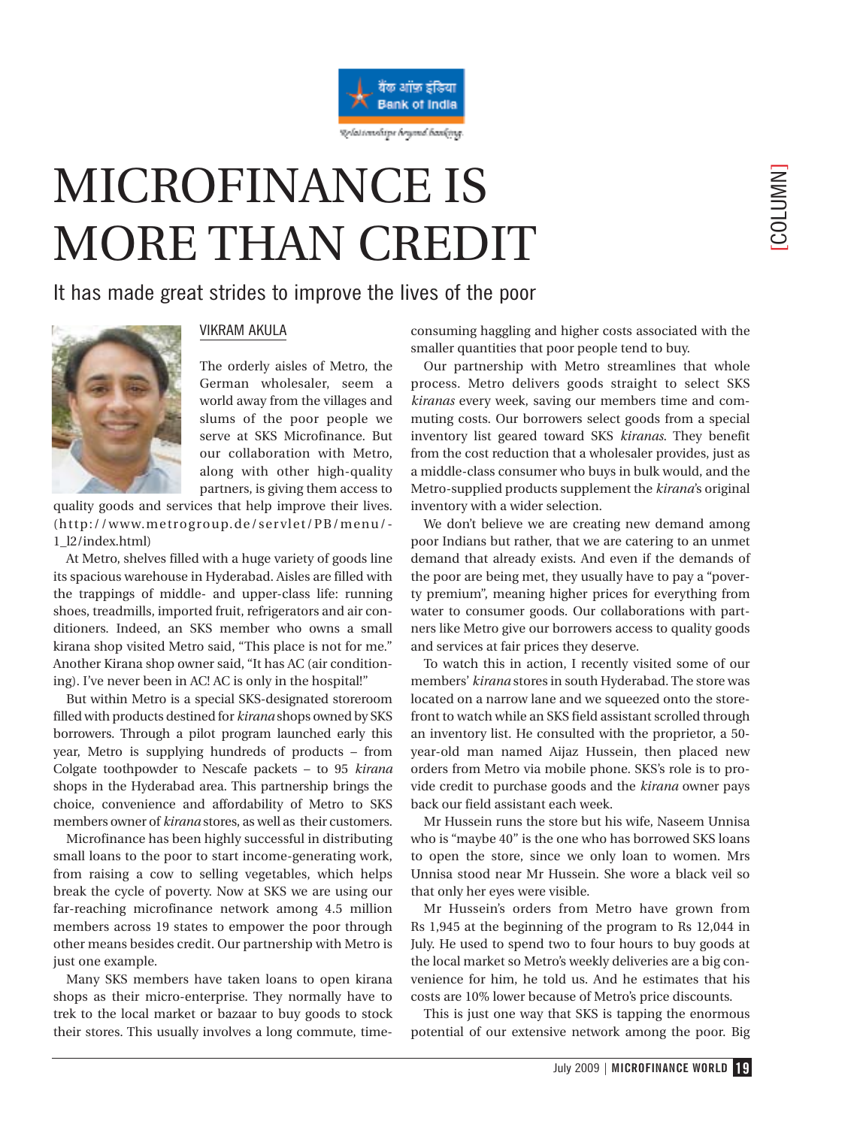

## MICROFINANCE IS MORE THAN CREDIT

## It has made great strides to improve the lives of the poor



## VIKRAM AKULA

The orderly aisles of Metro, the German wholesaler, seem a world away from the villages and slums of the poor people we serve at SKS Microfinance. But our collaboration with Metro, along with other high-quality partners, is giving them access to

quality goods and services that help improve their lives. (http://www.metrogroup.de/servlet/PB/menu/- 1\_l2/index.html)

At Metro, shelves filled with a huge variety of goods line its spacious warehouse in Hyderabad. Aisles are filled with the trappings of middle- and upper-class life: running shoes, treadmills, imported fruit, refrigerators and air conditioners. Indeed, an SKS member who owns a small kirana shop visited Metro said, "This place is not for me." Another Kirana shop owner said, "It has AC (air conditioning). I've never been in AC! AC is only in the hospital!"

But within Metro is a special SKS-designated storeroom filled with products destined for *kirana* shops owned by SKS borrowers. Through a pilot program launched early this year, Metro is supplying hundreds of products – from Colgate toothpowder to Nescafe packets – to 95 *kirana* shops in the Hyderabad area. This partnership brings the choice, convenience and affordability of Metro to SKS members owner of *kirana* stores, as well as their customers.

Microfinance has been highly successful in distributing small loans to the poor to start income-generating work, from raising a cow to selling vegetables, which helps break the cycle of poverty. Now at SKS we are using our far-reaching microfinance network among 4.5 million members across 19 states to empower the poor through other means besides credit. Our partnership with Metro is just one example.

Many SKS members have taken loans to open kirana shops as their micro-enterprise. They normally have to trek to the local market or bazaar to buy goods to stock their stores. This usually involves a long commute, timeconsuming haggling and higher costs associated with the smaller quantities that poor people tend to buy.

Our partnership with Metro streamlines that whole process. Metro delivers goods straight to select SKS *kiranas* every week, saving our members time and commuting costs. Our borrowers select goods from a special inventory list geared toward SKS *kiranas*. They benefit from the cost reduction that a wholesaler provides, just as a middle-class consumer who buys in bulk would, and the Metro-supplied products supplement the *kirana*'s original inventory with a wider selection.

We don't believe we are creating new demand among poor Indians but rather, that we are catering to an unmet demand that already exists. And even if the demands of the poor are being met, they usually have to pay a "poverty premium", meaning higher prices for everything from water to consumer goods. Our collaborations with partners like Metro give our borrowers access to quality goods and services at fair prices they deserve.

To watch this in action, I recently visited some of our members' *kirana* stores in south Hyderabad. The store was located on a narrow lane and we squeezed onto the storefront to watch while an SKS field assistant scrolled through an inventory list. He consulted with the proprietor, a 50 year-old man named Aijaz Hussein, then placed new orders from Metro via mobile phone. SKS's role is to provide credit to purchase goods and the *kirana* owner pays back our field assistant each week.

Mr Hussein runs the store but his wife, Naseem Unnisa who is "maybe 40" is the one who has borrowed SKS loans to open the store, since we only loan to women. Mrs Unnisa stood near Mr Hussein. She wore a black veil so that only her eyes were visible.

Mr Hussein's orders from Metro have grown from Rs 1,945 at the beginning of the program to Rs 12,044 in July. He used to spend two to four hours to buy goods at the local market so Metro's weekly deliveries are a big convenience for him, he told us. And he estimates that his costs are 10% lower because of Metro's price discounts.

This is just one way that SKS is tapping the enormous potential of our extensive network among the poor. Big